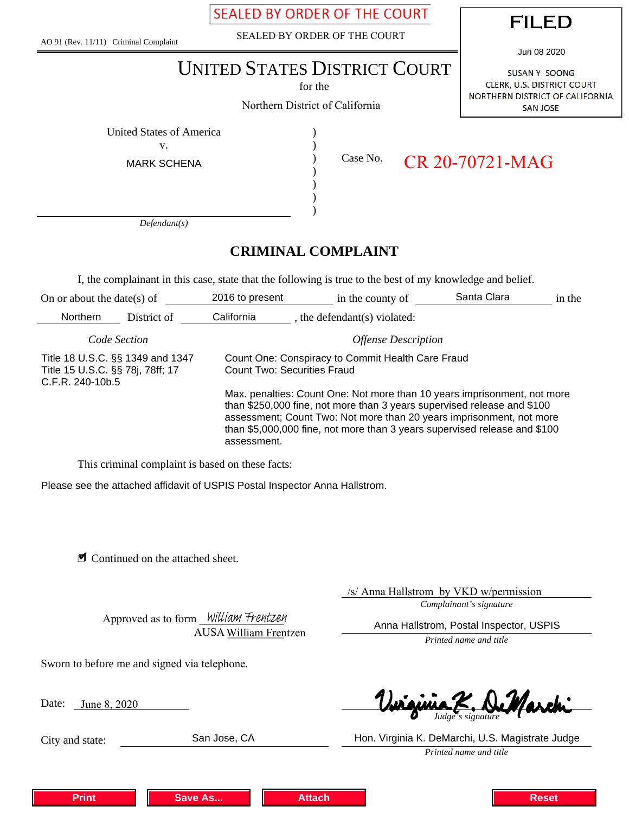**SEALED BY ORDER OF THE COURT** 

AO 91 (Rev. 11/11) Criminal Complaint

SEALED BY ORDER OF THE COURT



Jun 08 2020

# UNITED STATES DISTRICT COURT

for the

Northern District of California

SUSAN Y. SOONG CLERK, U.S. DISTRICT COURT NORTHERN DISTRICT OF CALIFORNIA **SAN JOSE** 

United States of America (1992)

v.

MARK SCHENA

) ) ) ) ) )

Case No.

CR 20-70721-MAG

*Defendant(s)*

# **CRIMINAL COMPLAINT**

I, the complainant in this case, state that the following is true to the best of my knowledge and belief.

| On or about the date(s) of                                                               |             | 2016 to present                                                                                                                                                                                                                                                                                                         | in the county of             | Santa Clara | in the |
|------------------------------------------------------------------------------------------|-------------|-------------------------------------------------------------------------------------------------------------------------------------------------------------------------------------------------------------------------------------------------------------------------------------------------------------------------|------------------------------|-------------|--------|
| <b>Northern</b>                                                                          | District of | California                                                                                                                                                                                                                                                                                                              | , the defendant(s) violated: |             |        |
| Code Section                                                                             |             | <b>Offense Description</b>                                                                                                                                                                                                                                                                                              |                              |             |        |
| Title 18 U.S.C. §§ 1349 and 1347<br>Title 15 U.S.C. §§ 78j, 78ff; 17<br>C.F.R. 240-10b.5 |             | Count One: Conspiracy to Commit Health Care Fraud<br><b>Count Two: Securities Fraud</b>                                                                                                                                                                                                                                 |                              |             |        |
|                                                                                          |             | Max. penalties: Count One: Not more than 10 years imprisonment, not more<br>than \$250,000 fine, not more than 3 years supervised release and \$100<br>assessment; Count Two: Not more than 20 years imprisonment, not more<br>than \$5,000,000 fine, not more than 3 years supervised release and \$100<br>assessment. |                              |             |        |

This criminal complaint is based on these facts:

Please see the attached affidavit of USPIS Postal Inspector Anna Hallstrom.

■ Continued on the attached sheet.

/s/ Anna Hallstrom by VKD w/permission

*Complainant's signature*

Anna Hallstrom, Postal Inspector, USPIS

*Printed name and title*

Approved as to form William Frentzen AUSA William Frentzen

Sworn to before me and signed via telephone.

Date: <u>June 8, 2020</u>

City and state:

*Judge's signature*

**Print Save As... Attach Reset**

*Printed name and title* San Jose, CA Hon. Virginia K. DeMarchi, U.S. Magistrate Judge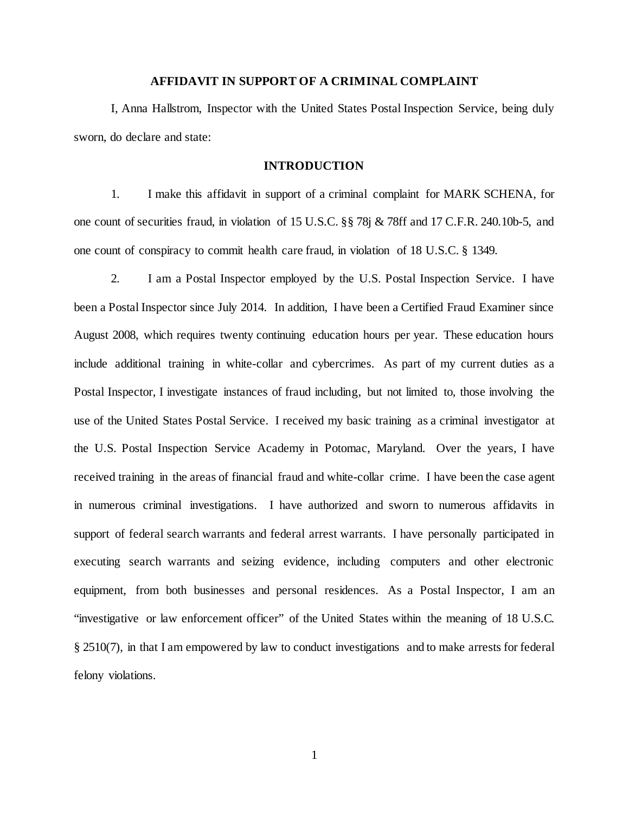# **AFFIDAVIT IN SUPPORT OF A CRIMINAL COMPLAINT**

I, Anna Hallstrom, Inspector with the United States Postal Inspection Service, being duly sworn, do declare and state:

# **INTRODUCTION**

1. I make this affidavit in support of a criminal complaint for MARK SCHENA, for one count of securities fraud, in violation of 15 U.S.C. §§ 78j & 78ff and 17 C.F.R. 240.10b-5, and one count of conspiracy to commit health care fraud, in violation of 18 U.S.C. § 1349.

2. I am a Postal Inspector employed by the U.S. Postal Inspection Service. I have been a Postal Inspector since July 2014. In addition, I have been a Certified Fraud Examiner since August 2008, which requires twenty continuing education hours per year. These education hours include additional training in white-collar and cybercrimes. As part of my current duties as a Postal Inspector, I investigate instances of fraud including, but not limited to, those involving the use of the United States Postal Service. I received my basic training as a criminal investigator at the U.S. Postal Inspection Service Academy in Potomac, Maryland. Over the years, I have received training in the areas of financial fraud and white-collar crime. I have been the case agent in numerous criminal investigations. I have authorized and sworn to numerous affidavits in support of federal search warrants and federal arrest warrants. I have personally participated in executing search warrants and seizing evidence, including computers and other electronic equipment, from both businesses and personal residences. As a Postal Inspector, I am an "investigative or law enforcement officer" of the United States within the meaning of 18 U.S.C. § 2510(7), in that I am empowered by law to conduct investigations and to make arrests for federal felony violations.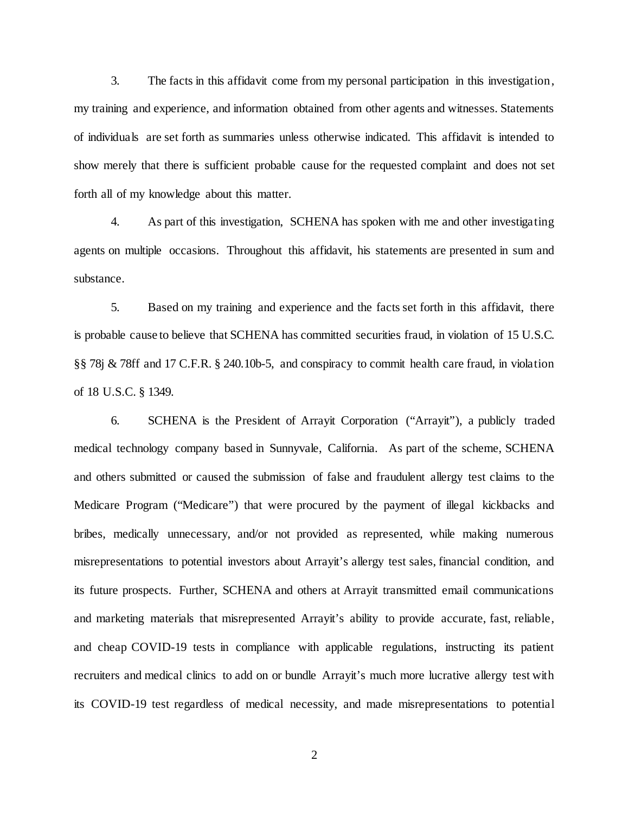3. The facts in this affidavit come from my personal participation in this investigation, my training and experience, and information obtained from other agents and witnesses. Statements of individuals are set forth as summaries unless otherwise indicated. This affidavit is intended to show merely that there is sufficient probable cause for the requested complaint and does not set forth all of my knowledge about this matter.

4. As part of this investigation, SCHENA has spoken with me and other investigating agents on multiple occasions. Throughout this affidavit, his statements are presented in sum and substance.

5. Based on my training and experience and the facts set forth in this affidavit, there is probable cause to believe that SCHENA has committed securities fraud, in violation of 15 U.S.C. §§ 78j & 78ff and 17 C.F.R. § 240.10b-5, and conspiracy to commit health care fraud, in violation of 18 U.S.C. § 1349.

6. SCHENA is the President of Arrayit Corporation ("Arrayit"), a publicly traded medical technology company based in Sunnyvale, California. As part of the scheme, SCHENA and others submitted or caused the submission of false and fraudulent allergy test claims to the Medicare Program ("Medicare") that were procured by the payment of illegal kickbacks and bribes, medically unnecessary, and/or not provided as represented, while making numerous misrepresentations to potential investors about Arrayit's allergy test sales, financial condition, and its future prospects. Further, SCHENA and others at Arrayit transmitted email communications and marketing materials that misrepresented Arrayit's ability to provide accurate, fast, reliable, and cheap COVID-19 tests in compliance with applicable regulations, instructing its patient recruiters and medical clinics to add on or bundle Arrayit's much more lucrative allergy test with its COVID-19 test regardless of medical necessity, and made misrepresentations to potential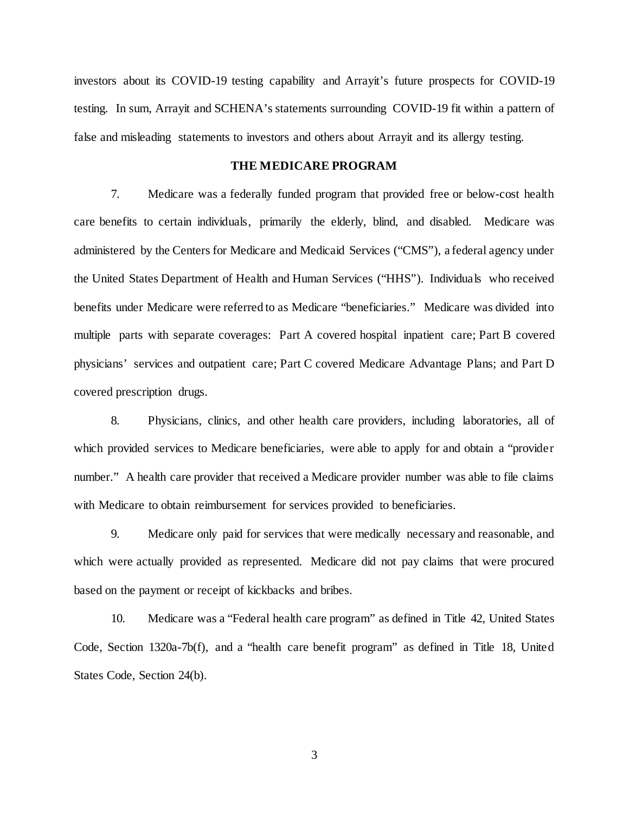investors about its COVID-19 testing capability and Arrayit's future prospects for COVID-19 testing. In sum, Arrayit and SCHENA's statements surrounding COVID-19 fit within a pattern of false and misleading statements to investors and others about Arrayit and its allergy testing.

#### **THE MEDICARE PROGRAM**

7. Medicare was a federally funded program that provided free or below-cost health care benefits to certain individuals, primarily the elderly, blind, and disabled. Medicare was administered by the Centers for Medicare and Medicaid Services ("CMS"), a federal agency under the United States Department of Health and Human Services ("HHS"). Individuals who received benefits under Medicare were referred to as Medicare "beneficiaries." Medicare was divided into multiple parts with separate coverages: Part A covered hospital inpatient care; Part B covered physicians' services and outpatient care; Part C covered Medicare Advantage Plans; and Part D covered prescription drugs.

8. Physicians, clinics, and other health care providers, including laboratories, all of which provided services to Medicare beneficiaries, were able to apply for and obtain a "provider number." A health care provider that received a Medicare provider number was able to file claims with Medicare to obtain reimbursement for services provided to beneficiaries.

9. Medicare only paid for services that were medically necessary and reasonable, and which were actually provided as represented. Medicare did not pay claims that were procured based on the payment or receipt of kickbacks and bribes.

10. Medicare was a "Federal health care program" as defined in Title 42, United States Code, Section 1320a-7b(f), and a "health care benefit program" as defined in Title 18, United States Code, Section 24(b).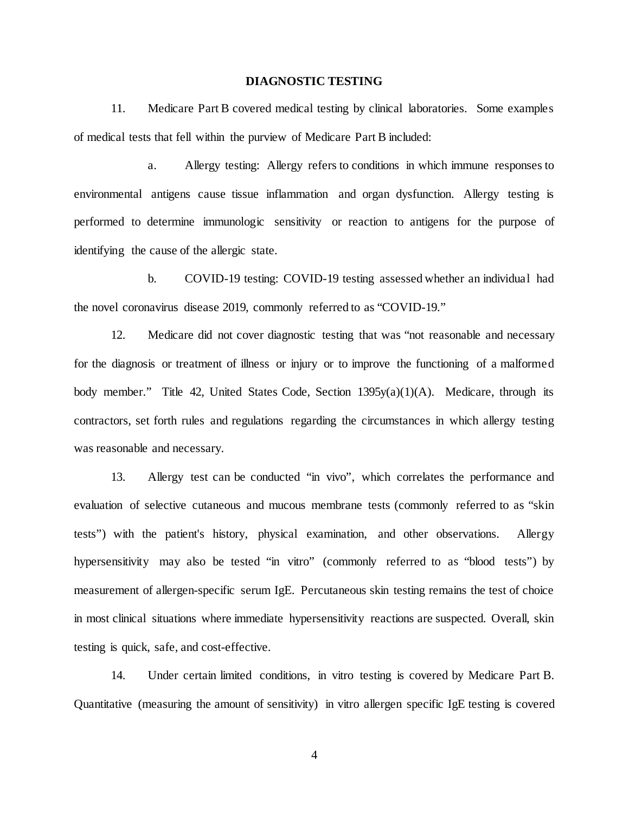# **DIAGNOSTIC TESTING**

11. Medicare Part B covered medical testing by clinical laboratories. Some examples of medical tests that fell within the purview of Medicare Part B included:

a. Allergy testing: Allergy refers to conditions in which immune responses to environmental antigens cause tissue inflammation and organ dysfunction. Allergy testing is performed to determine immunologic sensitivity or reaction to antigens for the purpose of identifying the cause of the allergic state.

b. COVID-19 testing: COVID-19 testing assessed whether an individual had the novel coronavirus disease 2019, commonly referred to as "COVID-19."

12. Medicare did not cover diagnostic testing that was "not reasonable and necessary for the diagnosis or treatment of illness or injury or to improve the functioning of a malformed body member." Title 42, United States Code, Section 1395y(a)(1)(A). Medicare, through its contractors, set forth rules and regulations regarding the circumstances in which allergy testing was reasonable and necessary.

13. Allergy test can be conducted "in vivo", which correlates the performance and evaluation of selective cutaneous and mucous membrane tests (commonly referred to as "skin tests") with the patient's history, physical examination, and other observations. Allergy hypersensitivity may also be tested "in vitro" (commonly referred to as "blood tests") by measurement of allergen-specific serum IgE. Percutaneous skin testing remains the test of choice in most clinical situations where immediate hypersensitivity reactions are suspected. Overall, skin testing is quick, safe, and cost-effective.

14. Under certain limited conditions, in vitro testing is covered by Medicare Part B. Quantitative (measuring the amount of sensitivity) in vitro allergen specific IgE testing is covered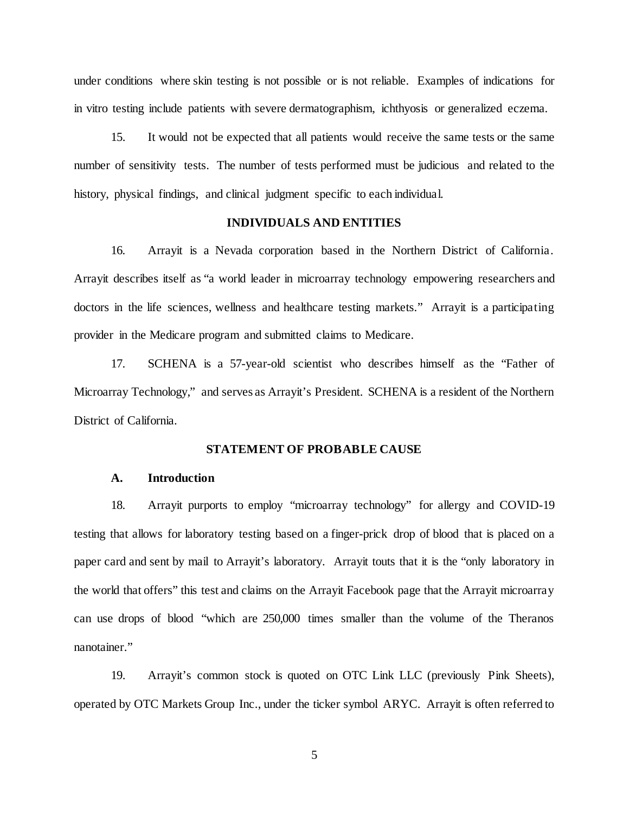under conditions where skin testing is not possible or is not reliable. Examples of indications for in vitro testing include patients with severe dermatographism, ichthyosis or generalized eczema.

15. It would not be expected that all patients would receive the same tests or the same number of sensitivity tests. The number of tests performed must be judicious and related to the history, physical findings, and clinical judgment specific to each individual.

# **INDIVIDUALS AND ENTITIES**

16. Arrayit is a Nevada corporation based in the Northern District of California. Arrayit describes itself as "a world leader in microarray technology empowering researchers and doctors in the life sciences, wellness and healthcare testing markets." Arrayit is a participating provider in the Medicare program and submitted claims to Medicare.

17. SCHENA is a 57-year-old scientist who describes himself as the "Father of Microarray Technology," and serves as Arrayit's President. SCHENA is a resident of the Northern District of California.

#### **STATEMENT OF PROBABLE CAUSE**

#### **A. Introduction**

18. Arrayit purports to employ "microarray technology" for allergy and COVID-19 testing that allows for laboratory testing based on a finger-prick drop of blood that is placed on a paper card and sent by mail to Arrayit's laboratory. Arrayit touts that it is the "only laboratory in the world that offers" this test and claims on the Arrayit Facebook page that the Arrayit microarray can use drops of blood "which are 250,000 times smaller than the volume of the Theranos nanotainer."

19. Arrayit's common stock is quoted on OTC Link LLC (previously Pink Sheets), operated by OTC Markets Group Inc., under the ticker symbol ARYC. Arrayit is often referred to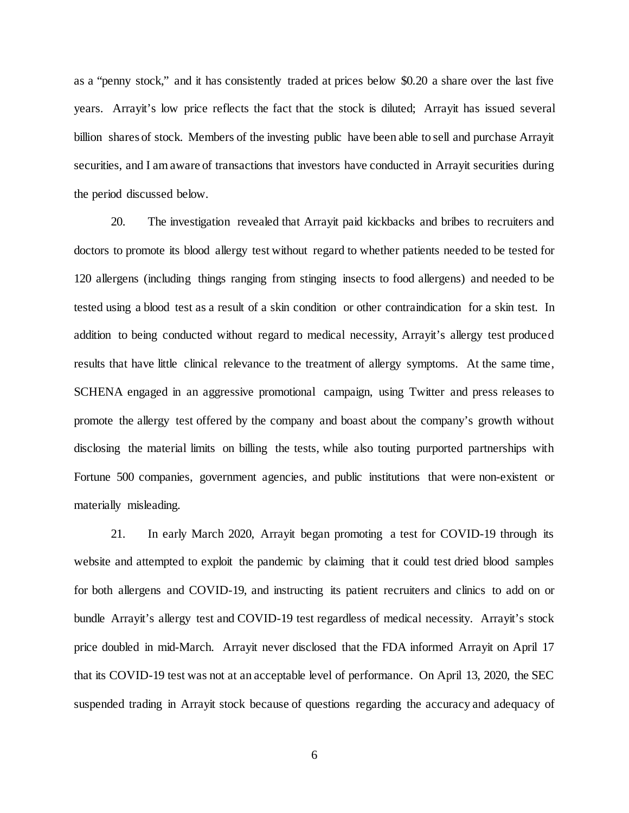as a "penny stock," and it has consistently traded at prices below \$0.20 a share over the last five years. Arrayit's low price reflects the fact that the stock is diluted; Arrayit has issued several billion shares of stock. Members of the investing public have been able to sell and purchase Arrayit securities, and I am aware of transactions that investors have conducted in Arrayit securities during the period discussed below.

20. The investigation revealed that Arrayit paid kickbacks and bribes to recruiters and doctors to promote its blood allergy test without regard to whether patients needed to be tested for 120 allergens (including things ranging from stinging insects to food allergens) and needed to be tested using a blood test as a result of a skin condition or other contraindication for a skin test. In addition to being conducted without regard to medical necessity, Arrayit's allergy test produced results that have little clinical relevance to the treatment of allergy symptoms. At the same time, SCHENA engaged in an aggressive promotional campaign, using Twitter and press releases to promote the allergy test offered by the company and boast about the company's growth without disclosing the material limits on billing the tests, while also touting purported partnerships with Fortune 500 companies, government agencies, and public institutions that were non-existent or materially misleading.

21. In early March 2020, Arrayit began promoting a test for COVID-19 through its website and attempted to exploit the pandemic by claiming that it could test dried blood samples for both allergens and COVID-19, and instructing its patient recruiters and clinics to add on or bundle Arrayit's allergy test and COVID-19 test regardless of medical necessity. Arrayit's stock price doubled in mid-March. Arrayit never disclosed that the FDA informed Arrayit on April 17 that its COVID-19 test was not at an acceptable level of performance. On April 13, 2020, the SEC suspended trading in Arrayit stock because of questions regarding the accuracy and adequacy of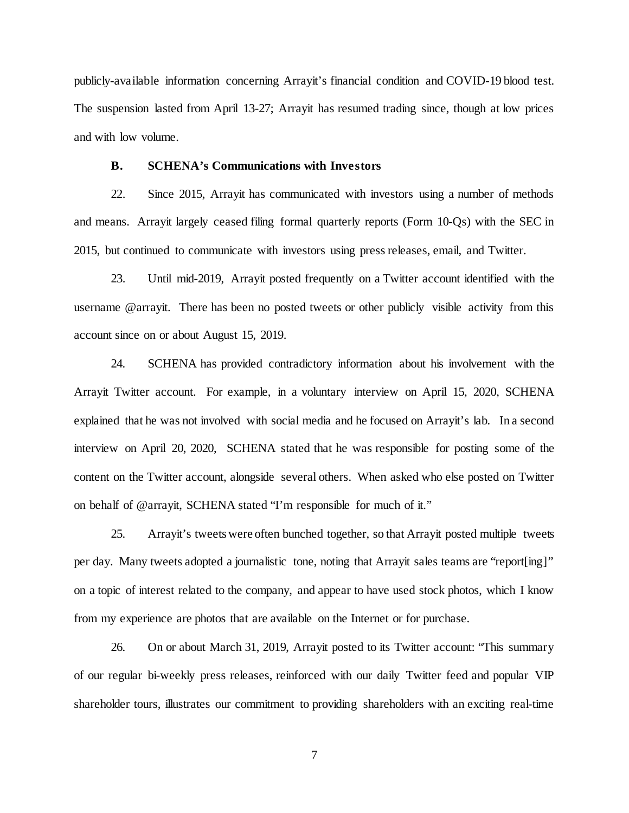publicly-available information concerning Arrayit's financial condition and COVID-19 blood test. The suspension lasted from April 13-27; Arrayit has resumed trading since, though at low prices and with low volume.

#### **B. SCHENA's Communications with Investors**

22. Since 2015, Arrayit has communicated with investors using a number of methods and means. Arrayit largely ceased filing formal quarterly reports (Form 10-Qs) with the SEC in 2015, but continued to communicate with investors using press releases, email, and Twitter.

23. Until mid-2019, Arrayit posted frequently on a Twitter account identified with the username @arrayit. There has been no posted tweets or other publicly visible activity from this account since on or about August 15, 2019.

24. SCHENA has provided contradictory information about his involvement with the Arrayit Twitter account. For example, in a voluntary interview on April 15, 2020, SCHENA explained that he was not involved with social media and he focused on Arrayit's lab. In a second interview on April 20, 2020, SCHENA stated that he was responsible for posting some of the content on the Twitter account, alongside several others. When asked who else posted on Twitter on behalf of @arrayit, SCHENA stated "I'm responsible for much of it."

25. Arrayit's tweets were often bunched together, so that Arrayit posted multiple tweets per day. Many tweets adopted a journalistic tone, noting that Arrayit sales teams are "report[ing]" on a topic of interest related to the company, and appear to have used stock photos, which I know from my experience are photos that are available on the Internet or for purchase.

26. On or about March 31, 2019, Arrayit posted to its Twitter account: "This summary of our regular bi-weekly press releases, reinforced with our daily Twitter feed and popular VIP shareholder tours, illustrates our commitment to providing shareholders with an exciting real-time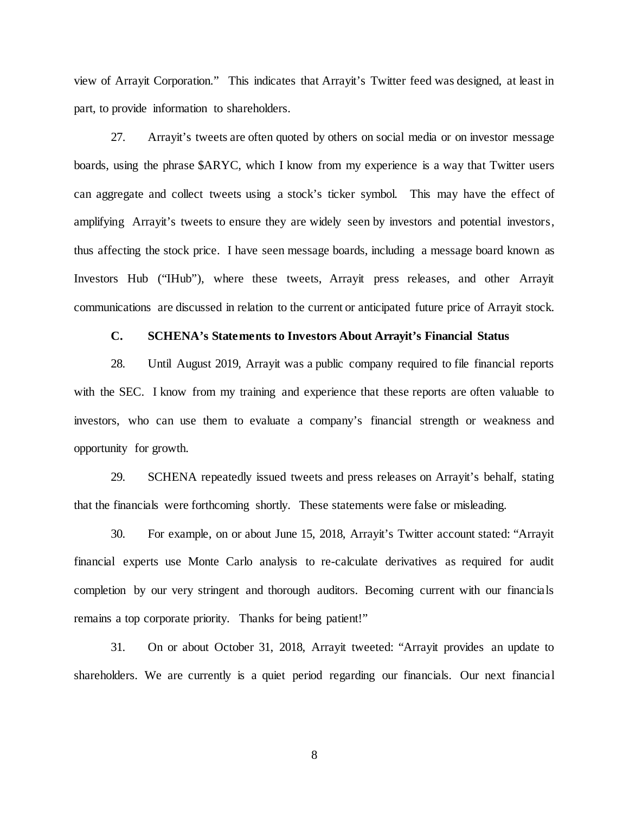view of Arrayit Corporation." This indicates that Arrayit's Twitter feed was designed, at least in part, to provide information to shareholders.

27. Arrayit's tweets are often quoted by others on social media or on investor message boards, using the phrase \$ARYC, which I know from my experience is a way that Twitter users can aggregate and collect tweets using a stock's ticker symbol. This may have the effect of amplifying Arrayit's tweets to ensure they are widely seen by investors and potential investors, thus affecting the stock price. I have seen message boards, including a message board known as Investors Hub ("IHub"), where these tweets, Arrayit press releases, and other Arrayit communications are discussed in relation to the current or anticipated future price of Arrayit stock.

# **C. SCHENA's Statements to Investors About Arrayit's Financial Status**

28. Until August 2019, Arrayit was a public company required to file financial reports with the SEC. I know from my training and experience that these reports are often valuable to investors, who can use them to evaluate a company's financial strength or weakness and opportunity for growth.

29. SCHENA repeatedly issued tweets and press releases on Arrayit's behalf, stating that the financials were forthcoming shortly. These statements were false or misleading.

30. For example, on or about June 15, 2018, Arrayit's Twitter account stated: "Arrayit financial experts use Monte Carlo analysis to re-calculate derivatives as required for audit completion by our very stringent and thorough auditors. Becoming current with our financials remains a top corporate priority. Thanks for being patient!"

31. On or about October 31, 2018, Arrayit tweeted: "Arrayit provides an update to shareholders. We are currently is a quiet period regarding our financials. Our next financial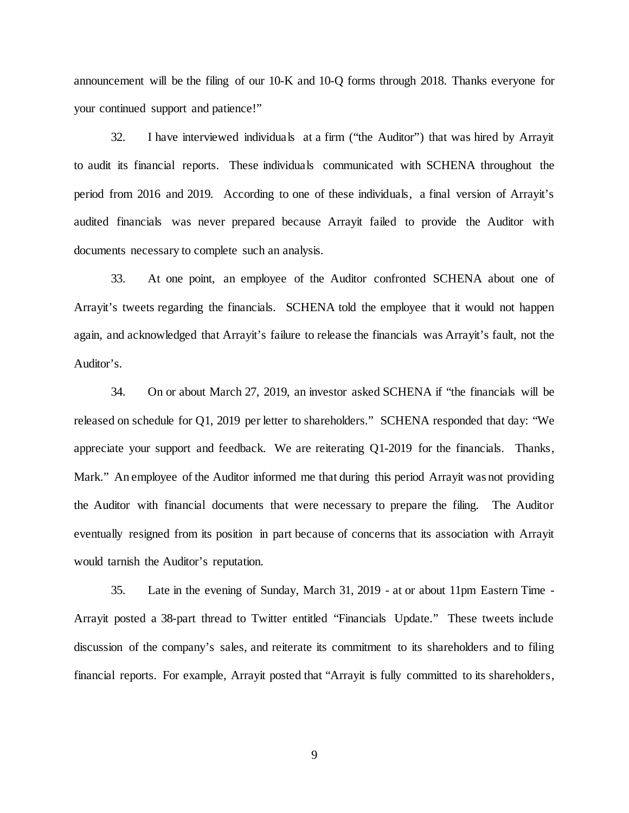announcement will be the filing of our 10-K and 10-Q forms through 2018. Thanks everyone for your continued support and patience!"

32. I have interviewed individuals at a firm ("the Auditor") that was hired by Arrayit to audit its financial reports. These individuals communicated with SCHENA throughout the period from 2016 and 2019. According to one of these individuals, a final version of Arrayit's audited financials was never prepared because Arrayit failed to provide the Auditor with documents necessary to complete such an analysis.

33. At one point, an employee of the Auditor confronted SCHENA about one of Arrayit's tweets regarding the financials. SCHENA told the employee that it would not happen again, and acknowledged that Arrayit's failure to release the financials was Arrayit's fault, not the Auditor's.

34. On or about March 27, 2019, an investor asked SCHENA if "the financials will be released on schedule for Q1, 2019 per letter to shareholders." SCHENA responded that day: "We appreciate your support and feedback. We are reiterating Q1-2019 for the financials. Thanks, Mark." An employee of the Auditor informed me that during this period Arrayit was not providing the Auditor with financial documents that were necessary to prepare the filing. The Auditor eventually resigned from its position in part because of concerns that its association with Arrayit would tarnish the Auditor's reputation.

35. Late in the evening of Sunday, March 31, 2019 - at or about 11pm Eastern Time - Arrayit posted a 38-part thread to Twitter entitled "Financials Update." These tweets include discussion of the company's sales, and reiterate its commitment to its shareholders and to filing financial reports. For example, Arrayit posted that "Arrayit is fully committed to its shareholders,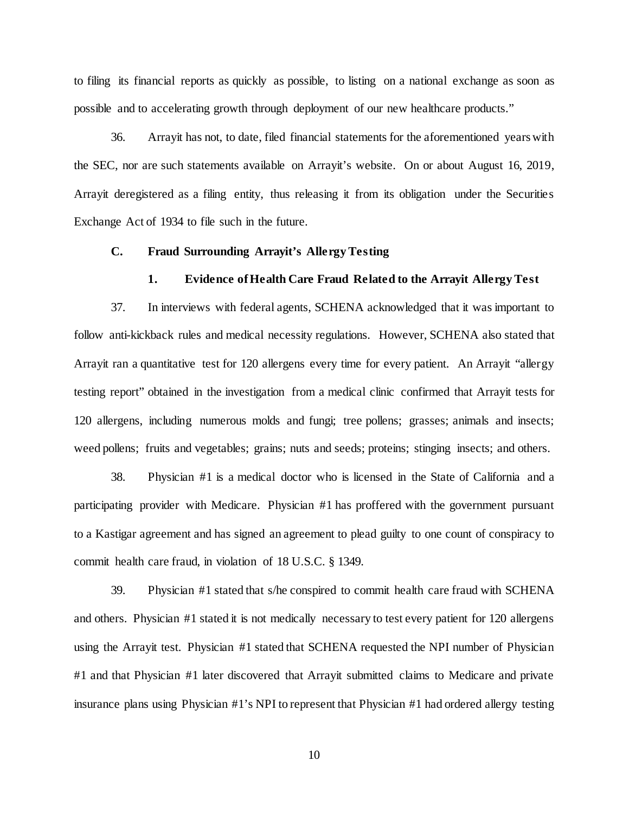to filing its financial reports as quickly as possible, to listing on a national exchange as soon as possible and to accelerating growth through deployment of our new healthcare products."

36. Arrayit has not, to date, filed financial statements for the aforementioned years with the SEC, nor are such statements available on Arrayit's website. On or about August 16, 2019, Arrayit deregistered as a filing entity, thus releasing it from its obligation under the Securities Exchange Act of 1934 to file such in the future.

#### **C. Fraud Surrounding Arrayit's Allergy Testing**

#### **1. Evidence of Health Care Fraud Related to the Arrayit Allergy Test**

37. In interviews with federal agents, SCHENA acknowledged that it was important to follow anti-kickback rules and medical necessity regulations. However, SCHENA also stated that Arrayit ran a quantitative test for 120 allergens every time for every patient. An Arrayit "allergy testing report" obtained in the investigation from a medical clinic confirmed that Arrayit tests for 120 allergens, including numerous molds and fungi; tree pollens; grasses; animals and insects; weed pollens; fruits and vegetables; grains; nuts and seeds; proteins; stinging insects; and others.

38. Physician #1 is a medical doctor who is licensed in the State of California and a participating provider with Medicare. Physician #1 has proffered with the government pursuant to a Kastigar agreement and has signed an agreement to plead guilty to one count of conspiracy to commit health care fraud, in violation of 18 U.S.C. § 1349.

39. Physician #1 stated that s/he conspired to commit health care fraud with SCHENA and others. Physician #1 stated it is not medically necessary to test every patient for 120 allergens using the Arrayit test. Physician #1 stated that SCHENA requested the NPI number of Physician #1 and that Physician #1 later discovered that Arrayit submitted claims to Medicare and private insurance plans using Physician #1's NPI to represent that Physician #1 had ordered allergy testing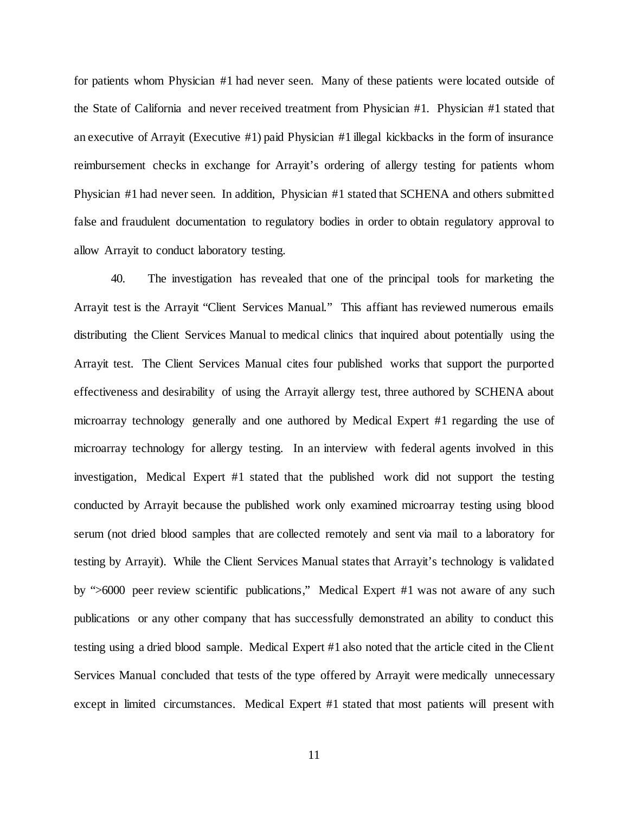for patients whom Physician #1 had never seen. Many of these patients were located outside of the State of California and never received treatment from Physician #1. Physician #1 stated that an executive of Arrayit (Executive #1) paid Physician #1 illegal kickbacks in the form of insurance reimbursement checks in exchange for Arrayit's ordering of allergy testing for patients whom Physician #1 had never seen. In addition, Physician #1 stated that SCHENA and others submitted false and fraudulent documentation to regulatory bodies in order to obtain regulatory approval to allow Arrayit to conduct laboratory testing.

40. The investigation has revealed that one of the principal tools for marketing the Arrayit test is the Arrayit "Client Services Manual." This affiant has reviewed numerous emails distributing the Client Services Manual to medical clinics that inquired about potentially using the Arrayit test. The Client Services Manual cites four published works that support the purported effectiveness and desirability of using the Arrayit allergy test, three authored by SCHENA about microarray technology generally and one authored by Medical Expert #1 regarding the use of microarray technology for allergy testing. In an interview with federal agents involved in this investigation, Medical Expert #1 stated that the published work did not support the testing conducted by Arrayit because the published work only examined microarray testing using blood serum (not dried blood samples that are collected remotely and sent via mail to a laboratory for testing by Arrayit). While the Client Services Manual states that Arrayit's technology is validated by ">6000 peer review scientific publications," Medical Expert #1 was not aware of any such publications or any other company that has successfully demonstrated an ability to conduct this testing using a dried blood sample. Medical Expert #1 also noted that the article cited in the Client Services Manual concluded that tests of the type offered by Arrayit were medically unnecessary except in limited circumstances. Medical Expert #1 stated that most patients will present with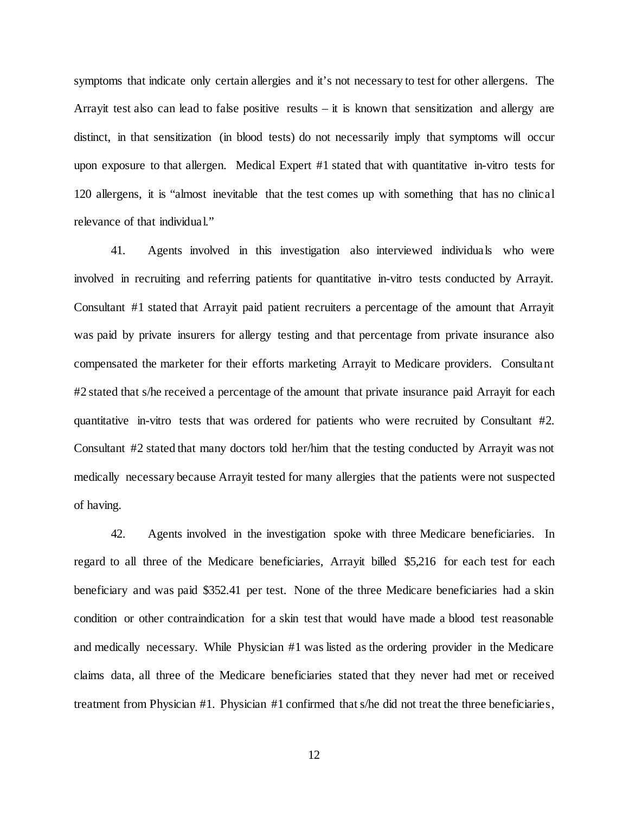symptoms that indicate only certain allergies and it's not necessary to test for other allergens. The Arrayit test also can lead to false positive results – it is known that sensitization and allergy are distinct, in that sensitization (in blood tests) do not necessarily imply that symptoms will occur upon exposure to that allergen. Medical Expert #1 stated that with quantitative in-vitro tests for 120 allergens, it is "almost inevitable that the test comes up with something that has no clinical relevance of that individual."

41. Agents involved in this investigation also interviewed individuals who were involved in recruiting and referring patients for quantitative in-vitro tests conducted by Arrayit. Consultant #1 stated that Arrayit paid patient recruiters a percentage of the amount that Arrayit was paid by private insurers for allergy testing and that percentage from private insurance also compensated the marketer for their efforts marketing Arrayit to Medicare providers. Consultant #2 stated that s/he received a percentage of the amount that private insurance paid Arrayit for each quantitative in-vitro tests that was ordered for patients who were recruited by Consultant #2. Consultant #2 stated that many doctors told her/him that the testing conducted by Arrayit was not medically necessary because Arrayit tested for many allergies that the patients were not suspected of having.

42. Agents involved in the investigation spoke with three Medicare beneficiaries. In regard to all three of the Medicare beneficiaries, Arrayit billed \$5,216 for each test for each beneficiary and was paid \$352.41 per test. None of the three Medicare beneficiaries had a skin condition or other contraindication for a skin test that would have made a blood test reasonable and medically necessary. While Physician #1 was listed as the ordering provider in the Medicare claims data, all three of the Medicare beneficiaries stated that they never had met or received treatment from Physician #1. Physician #1 confirmed that s/he did not treat the three beneficiaries,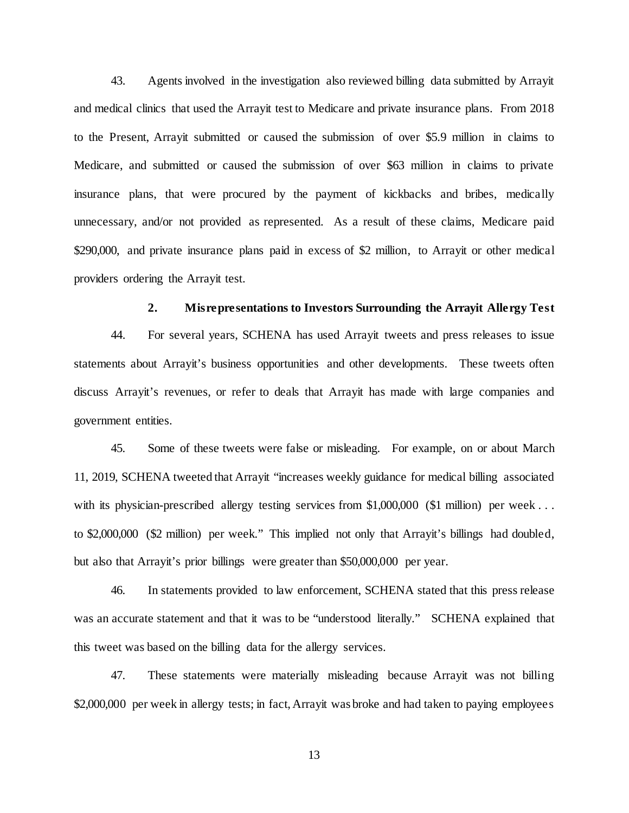43. Agents involved in the investigation also reviewed billing data submitted by Arrayit and medical clinics that used the Arrayit test to Medicare and private insurance plans. From 2018 to the Present, Arrayit submitted or caused the submission of over \$5.9 million in claims to Medicare, and submitted or caused the submission of over \$63 million in claims to private insurance plans, that were procured by the payment of kickbacks and bribes, medically unnecessary, and/or not provided as represented. As a result of these claims, Medicare paid \$290,000, and private insurance plans paid in excess of \$2 million, to Arrayit or other medical providers ordering the Arrayit test.

#### **2. Misrepresentations to Investors Surrounding the Arrayit Allergy Test**

44. For several years, SCHENA has used Arrayit tweets and press releases to issue statements about Arrayit's business opportunities and other developments. These tweets often discuss Arrayit's revenues, or refer to deals that Arrayit has made with large companies and government entities.

45. Some of these tweets were false or misleading. For example, on or about March 11, 2019, SCHENA tweeted that Arrayit "increases weekly guidance for medical billing associated with its physician-prescribed allergy testing services from \$1,000,000 (\$1 million) per week... to \$2,000,000 (\$2 million) per week." This implied not only that Arrayit's billings had doubled, but also that Arrayit's prior billings were greater than \$50,000,000 per year.

46. In statements provided to law enforcement, SCHENA stated that this press release was an accurate statement and that it was to be "understood literally." SCHENA explained that this tweet was based on the billing data for the allergy services.

47. These statements were materially misleading because Arrayit was not billing \$2,000,000 per week in allergy tests; in fact, Arrayit was broke and had taken to paying employees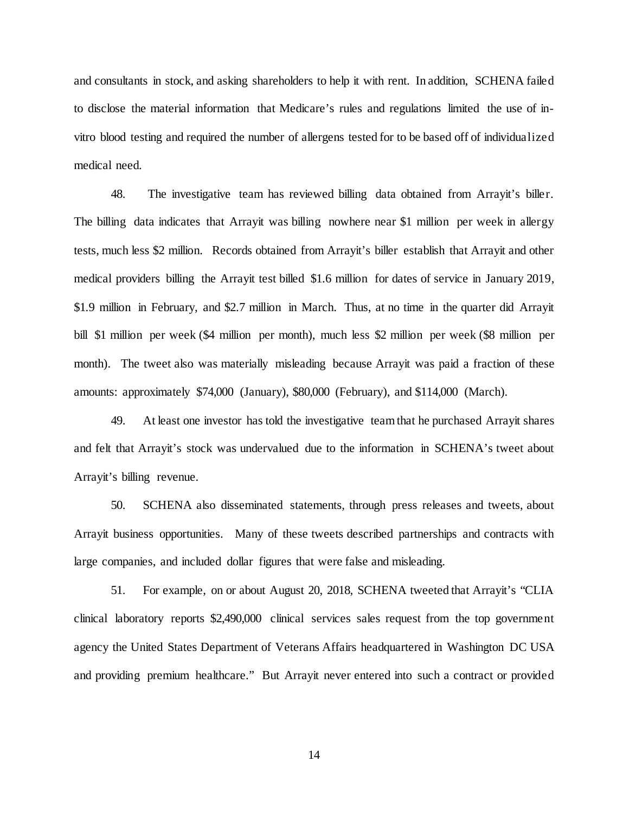and consultants in stock, and asking shareholders to help it with rent. In addition, SCHENA failed to disclose the material information that Medicare's rules and regulations limited the use of invitro blood testing and required the number of allergens tested for to be based off of individualized medical need.

48. The investigative team has reviewed billing data obtained from Arrayit's biller. The billing data indicates that Arrayit was billing nowhere near \$1 million per week in allergy tests, much less \$2 million. Records obtained from Arrayit's biller establish that Arrayit and other medical providers billing the Arrayit test billed \$1.6 million for dates of service in January 2019, \$1.9 million in February, and \$2.7 million in March. Thus, at no time in the quarter did Arrayit bill \$1 million per week (\$4 million per month), much less \$2 million per week (\$8 million per month). The tweet also was materially misleading because Arrayit was paid a fraction of these amounts: approximately \$74,000 (January), \$80,000 (February), and \$114,000 (March).

49. At least one investor has told the investigative team that he purchased Arrayit shares and felt that Arrayit's stock was undervalued due to the information in SCHENA's tweet about Arrayit's billing revenue.

50. SCHENA also disseminated statements, through press releases and tweets, about Arrayit business opportunities. Many of these tweets described partnerships and contracts with large companies, and included dollar figures that were false and misleading.

51. For example, on or about August 20, 2018, SCHENA tweeted that Arrayit's "CLIA clinical laboratory reports \$2,490,000 clinical services sales request from the top government agency the United States Department of Veterans Affairs headquartered in Washington DC USA and providing premium healthcare." But Arrayit never entered into such a contract or provided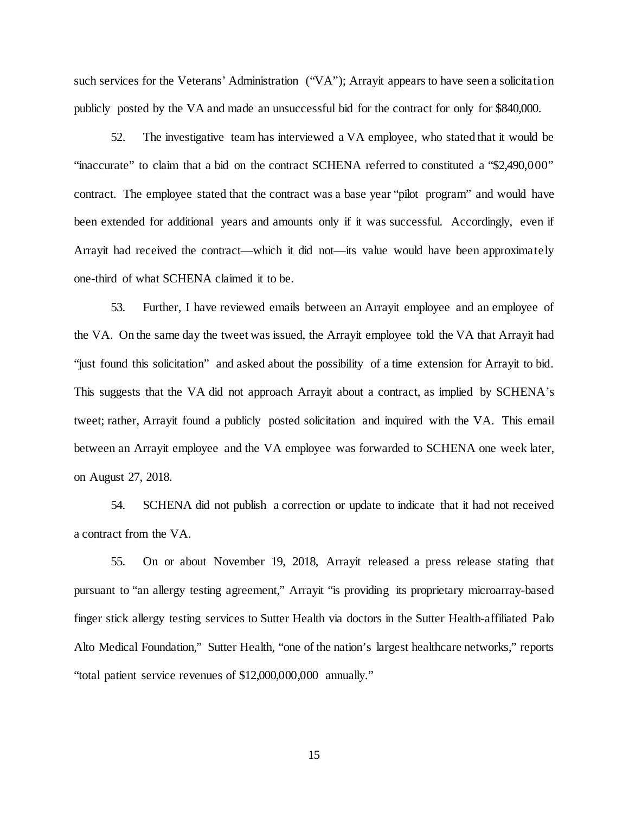such services for the Veterans' Administration ("VA"); Arrayit appears to have seen a solicitation publicly posted by the VA and made an unsuccessful bid for the contract for only for \$840,000.

52. The investigative team has interviewed a VA employee, who stated that it would be "inaccurate" to claim that a bid on the contract SCHENA referred to constituted a "\$2,490,000" contract. The employee stated that the contract was a base year "pilot program" and would have been extended for additional years and amounts only if it was successful. Accordingly, even if Arrayit had received the contract—which it did not—its value would have been approximately one-third of what SCHENA claimed it to be.

53. Further, I have reviewed emails between an Arrayit employee and an employee of the VA. On the same day the tweet was issued, the Arrayit employee told the VA that Arrayit had "just found this solicitation" and asked about the possibility of a time extension for Arrayit to bid. This suggests that the VA did not approach Arrayit about a contract, as implied by SCHENA's tweet; rather, Arrayit found a publicly posted solicitation and inquired with the VA. This email between an Arrayit employee and the VA employee was forwarded to SCHENA one week later, on August 27, 2018.

54. SCHENA did not publish a correction or update to indicate that it had not received a contract from the VA.

55. On or about November 19, 2018, Arrayit released a press release stating that pursuant to "an allergy testing agreement," Arrayit "is providing its proprietary microarray-based finger stick allergy testing services to Sutter Health via doctors in the Sutter Health-affiliated Palo Alto Medical Foundation," Sutter Health, "one of the nation's largest healthcare networks," reports "total patient service revenues of \$12,000,000,000 annually."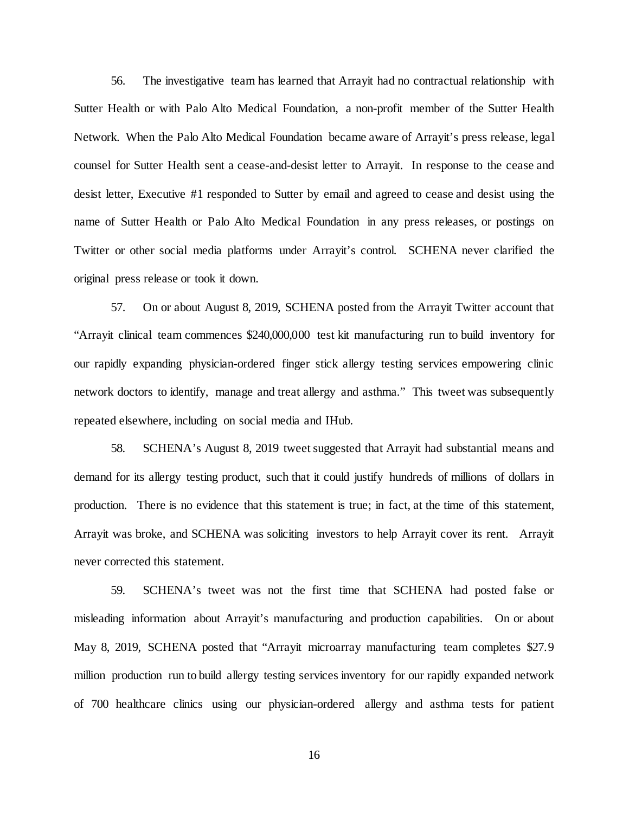56. The investigative team has learned that Arrayit had no contractual relationship with Sutter Health or with Palo Alto Medical Foundation, a non-profit member of the Sutter Health Network. When the Palo Alto Medical Foundation became aware of Arrayit's press release, legal counsel for Sutter Health sent a cease-and-desist letter to Arrayit. In response to the cease and desist letter, Executive #1 responded to Sutter by email and agreed to cease and desist using the name of Sutter Health or Palo Alto Medical Foundation in any press releases, or postings on Twitter or other social media platforms under Arrayit's control. SCHENA never clarified the original press release or took it down.

57. On or about August 8, 2019, SCHENA posted from the Arrayit Twitter account that "Arrayit clinical team commences \$240,000,000 test kit manufacturing run to build inventory for our rapidly expanding physician-ordered finger stick allergy testing services empowering clinic network doctors to identify, manage and treat allergy and asthma." This tweet was subsequently repeated elsewhere, including on social media and IHub.

58. SCHENA's August 8, 2019 tweet suggested that Arrayit had substantial means and demand for its allergy testing product, such that it could justify hundreds of millions of dollars in production. There is no evidence that this statement is true; in fact, at the time of this statement, Arrayit was broke, and SCHENA was soliciting investors to help Arrayit cover its rent. Arrayit never corrected this statement.

59. SCHENA's tweet was not the first time that SCHENA had posted false or misleading information about Arrayit's manufacturing and production capabilities. On or about May 8, 2019, SCHENA posted that "Arrayit microarray manufacturing team completes \$27.9 million production run to build allergy testing services inventory for our rapidly expanded network of 700 healthcare clinics using our physician-ordered allergy and asthma tests for patient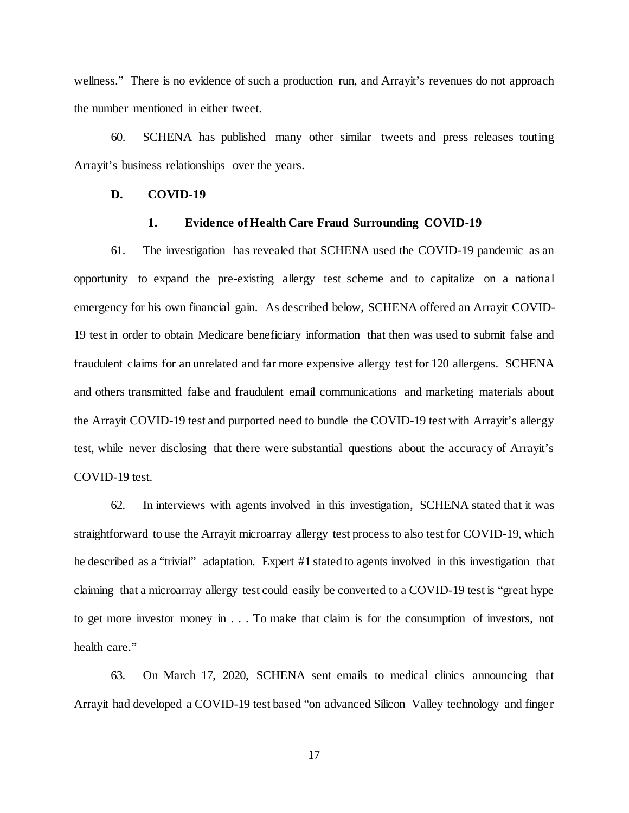wellness." There is no evidence of such a production run, and Arrayit's revenues do not approach the number mentioned in either tweet.

60. SCHENA has published many other similar tweets and press releases touting Arrayit's business relationships over the years.

# **D. COVID-19**

# **1. Evidence ofHealth Care Fraud Surrounding COVID-19**

61. The investigation has revealed that SCHENA used the COVID-19 pandemic as an opportunity to expand the pre-existing allergy test scheme and to capitalize on a national emergency for his own financial gain. As described below, SCHENA offered an Arrayit COVID-19 test in order to obtain Medicare beneficiary information that then was used to submit false and fraudulent claims for an unrelated and far more expensive allergy test for 120 allergens. SCHENA and others transmitted false and fraudulent email communications and marketing materials about the Arrayit COVID-19 test and purported need to bundle the COVID-19 test with Arrayit's allergy test, while never disclosing that there were substantial questions about the accuracy of Arrayit's COVID-19 test.

62. In interviews with agents involved in this investigation, SCHENA stated that it was straightforward to use the Arrayit microarray allergy test process to also test for COVID-19, which he described as a "trivial" adaptation. Expert #1 stated to agents involved in this investigation that claiming that a microarray allergy test could easily be converted to a COVID-19 test is "great hype to get more investor money in . . . To make that claim is for the consumption of investors, not health care."

63. On March 17, 2020, SCHENA sent emails to medical clinics announcing that Arrayit had developed a COVID-19 test based "on advanced Silicon Valley technology and finger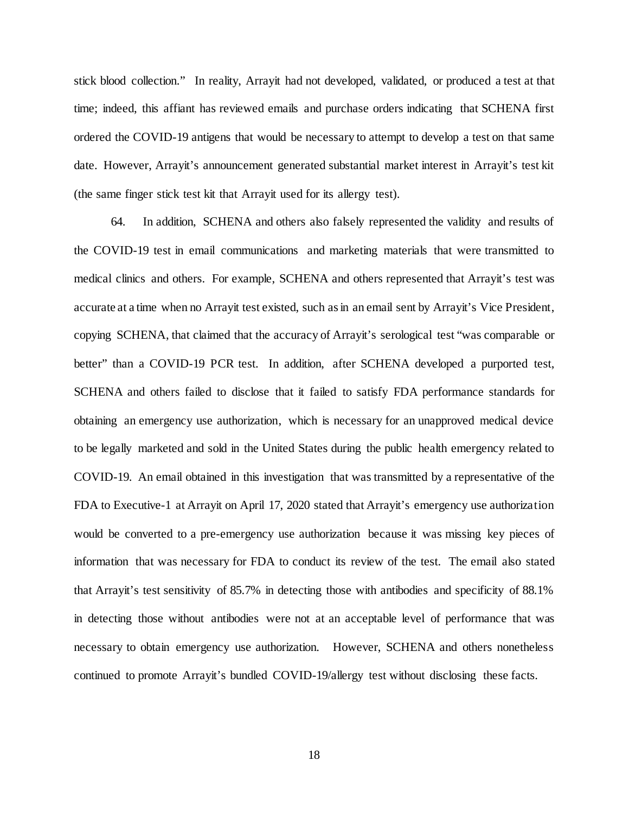stick blood collection." In reality, Arrayit had not developed, validated, or produced a test at that time; indeed, this affiant has reviewed emails and purchase orders indicating that SCHENA first ordered the COVID-19 antigens that would be necessary to attempt to develop a test on that same date. However, Arrayit's announcement generated substantial market interest in Arrayit's test kit (the same finger stick test kit that Arrayit used for its allergy test).

64. In addition, SCHENA and others also falsely represented the validity and results of the COVID-19 test in email communications and marketing materials that were transmitted to medical clinics and others. For example, SCHENA and others represented that Arrayit's test was accurate at a time when no Arrayit test existed, such as in an email sent by Arrayit's Vice President, copying SCHENA, that claimed that the accuracy of Arrayit's serological test "was comparable or better" than a COVID-19 PCR test. In addition, after SCHENA developed a purported test, SCHENA and others failed to disclose that it failed to satisfy FDA performance standards for obtaining an emergency use authorization, which is necessary for an unapproved medical device to be legally marketed and sold in the United States during the public health emergency related to COVID-19. An email obtained in this investigation that was transmitted by a representative of the FDA to Executive-1 at Arrayit on April 17, 2020 stated that Arrayit's emergency use authorization would be converted to a pre-emergency use authorization because it was missing key pieces of information that was necessary for FDA to conduct its review of the test. The email also stated that Arrayit's test sensitivity of 85.7% in detecting those with antibodies and specificity of 88.1% in detecting those without antibodies were not at an acceptable level of performance that was necessary to obtain emergency use authorization. However, SCHENA and others nonetheless continued to promote Arrayit's bundled COVID-19/allergy test without disclosing these facts.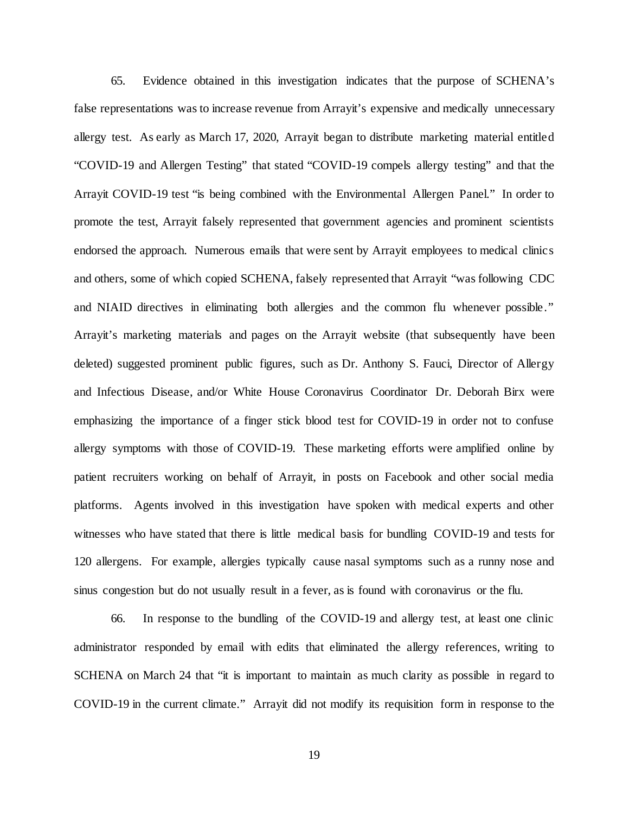65. Evidence obtained in this investigation indicates that the purpose of SCHENA's false representations was to increase revenue from Arrayit's expensive and medically unnecessary allergy test. As early as March 17, 2020, Arrayit began to distribute marketing material entitled "COVID-19 and Allergen Testing" that stated "COVID-19 compels allergy testing" and that the Arrayit COVID-19 test "is being combined with the Environmental Allergen Panel." In order to promote the test, Arrayit falsely represented that government agencies and prominent scientists endorsed the approach. Numerous emails that were sent by Arrayit employees to medical clinics and others, some of which copied SCHENA, falsely represented that Arrayit "was following CDC and NIAID directives in eliminating both allergies and the common flu whenever possible." Arrayit's marketing materials and pages on the Arrayit website (that subsequently have been deleted) suggested prominent public figures, such as Dr. Anthony S. Fauci, Director of Allergy and Infectious Disease, and/or White House Coronavirus Coordinator Dr. Deborah Birx were emphasizing the importance of a finger stick blood test for COVID-19 in order not to confuse allergy symptoms with those of COVID-19. These marketing efforts were amplified online by patient recruiters working on behalf of Arrayit, in posts on Facebook and other social media platforms. Agents involved in this investigation have spoken with medical experts and other witnesses who have stated that there is little medical basis for bundling COVID-19 and tests for 120 allergens. For example, allergies typically cause nasal symptoms such as a runny nose and sinus congestion but do not usually result in a fever, as is found with coronavirus or the flu.

66. In response to the bundling of the COVID-19 and allergy test, at least one clinic administrator responded by email with edits that eliminated the allergy references, writing to SCHENA on March 24 that "it is important to maintain as much clarity as possible in regard to COVID-19 in the current climate." Arrayit did not modify its requisition form in response to the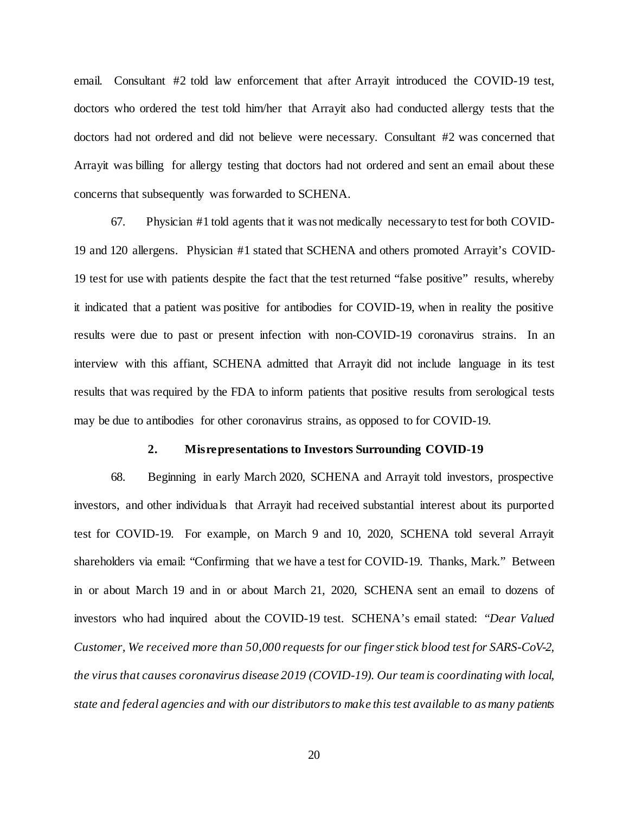email. Consultant #2 told law enforcement that after Arrayit introduced the COVID-19 test, doctors who ordered the test told him/her that Arrayit also had conducted allergy tests that the doctors had not ordered and did not believe were necessary. Consultant #2 was concerned that Arrayit was billing for allergy testing that doctors had not ordered and sent an email about these concerns that subsequently was forwarded to SCHENA.

67. Physician #1 told agents that it was not medically necessary to test for both COVID-19 and 120 allergens. Physician #1 stated that SCHENA and others promoted Arrayit's COVID-19 test for use with patients despite the fact that the test returned "false positive" results, whereby it indicated that a patient was positive for antibodies for COVID-19, when in reality the positive results were due to past or present infection with non-COVID-19 coronavirus strains. In an interview with this affiant, SCHENA admitted that Arrayit did not include language in its test results that was required by the FDA to inform patients that positive results from serological tests may be due to antibodies for other coronavirus strains, as opposed to for COVID-19.

#### **2. Misrepresentations to Investors Surrounding COVID-19**

68. Beginning in early March 2020, SCHENA and Arrayit told investors, prospective investors, and other individuals that Arrayit had received substantial interest about its purported test for COVID-19. For example, on March 9 and 10, 2020, SCHENA told several Arrayit shareholders via email: "Confirming that we have a test for COVID-19. Thanks, Mark." Between in or about March 19 and in or about March 21, 2020, SCHENA sent an email to dozens of investors who had inquired about the COVID-19 test. SCHENA's email stated: "*Dear Valued Customer, We received more than 50,000 requests for our finger stick blood test for SARS-CoV-2, the virus that causes coronavirus disease 2019 (COVID-19). Our team is coordinating with local, state and federal agencies and with our distributors to make this test available to as many patients*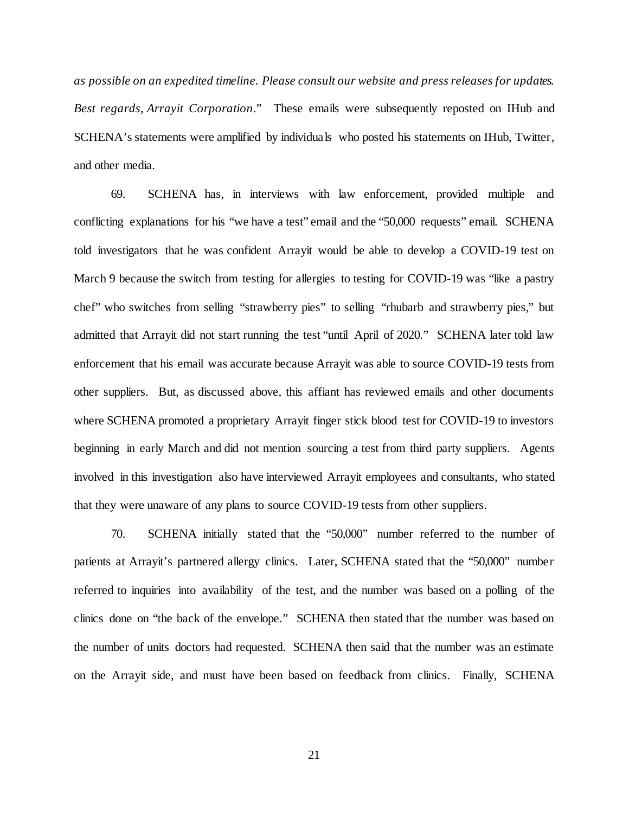*as possible on an expedited timeline. Please consult our website and press releases for updates. Best regards, Arrayit Corporation*." These emails were subsequently reposted on IHub and SCHENA's statements were amplified by individuals who posted his statements on IHub, Twitter, and other media.

69. SCHENA has, in interviews with law enforcement, provided multiple and conflicting explanations for his "we have a test" email and the "50,000 requests" email. SCHENA told investigators that he was confident Arrayit would be able to develop a COVID-19 test on March 9 because the switch from testing for allergies to testing for COVID-19 was "like a pastry chef" who switches from selling "strawberry pies" to selling "rhubarb and strawberry pies," but admitted that Arrayit did not start running the test "until April of 2020." SCHENA later told law enforcement that his email was accurate because Arrayit was able to source COVID-19 tests from other suppliers. But, as discussed above, this affiant has reviewed emails and other documents where SCHENA promoted a proprietary Arrayit finger stick blood test for COVID-19 to investors beginning in early March and did not mention sourcing a test from third party suppliers. Agents involved in this investigation also have interviewed Arrayit employees and consultants, who stated that they were unaware of any plans to source COVID-19 tests from other suppliers.

70. SCHENA initially stated that the "50,000" number referred to the number of patients at Arrayit's partnered allergy clinics. Later, SCHENA stated that the "50,000" number referred to inquiries into availability of the test, and the number was based on a polling of the clinics done on "the back of the envelope." SCHENA then stated that the number was based on the number of units doctors had requested. SCHENA then said that the number was an estimate on the Arrayit side, and must have been based on feedback from clinics. Finally, SCHENA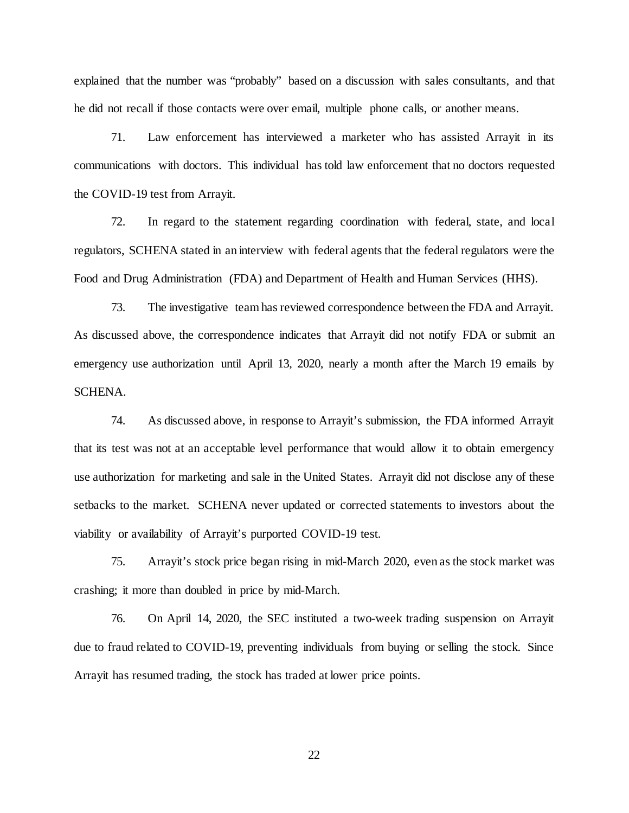explained that the number was "probably" based on a discussion with sales consultants, and that he did not recall if those contacts were over email, multiple phone calls, or another means.

71. Law enforcement has interviewed a marketer who has assisted Arrayit in its communications with doctors. This individual has told law enforcement that no doctors requested the COVID-19 test from Arrayit.

72. In regard to the statement regarding coordination with federal, state, and local regulators, SCHENA stated in an interview with federal agents that the federal regulators were the Food and Drug Administration (FDA) and Department of Health and Human Services (HHS).

73. The investigative team has reviewed correspondence between the FDA and Arrayit. As discussed above, the correspondence indicates that Arrayit did not notify FDA or submit an emergency use authorization until April 13, 2020, nearly a month after the March 19 emails by SCHENA.

74. As discussed above, in response to Arrayit's submission, the FDA informed Arrayit that its test was not at an acceptable level performance that would allow it to obtain emergency use authorization for marketing and sale in the United States. Arrayit did not disclose any of these setbacks to the market. SCHENA never updated or corrected statements to investors about the viability or availability of Arrayit's purported COVID-19 test.

75. Arrayit's stock price began rising in mid-March 2020, even as the stock market was crashing; it more than doubled in price by mid-March.

76. On April 14, 2020, the SEC instituted a two-week trading suspension on Arrayit due to fraud related to COVID-19, preventing individuals from buying or selling the stock. Since Arrayit has resumed trading, the stock has traded at lower price points.